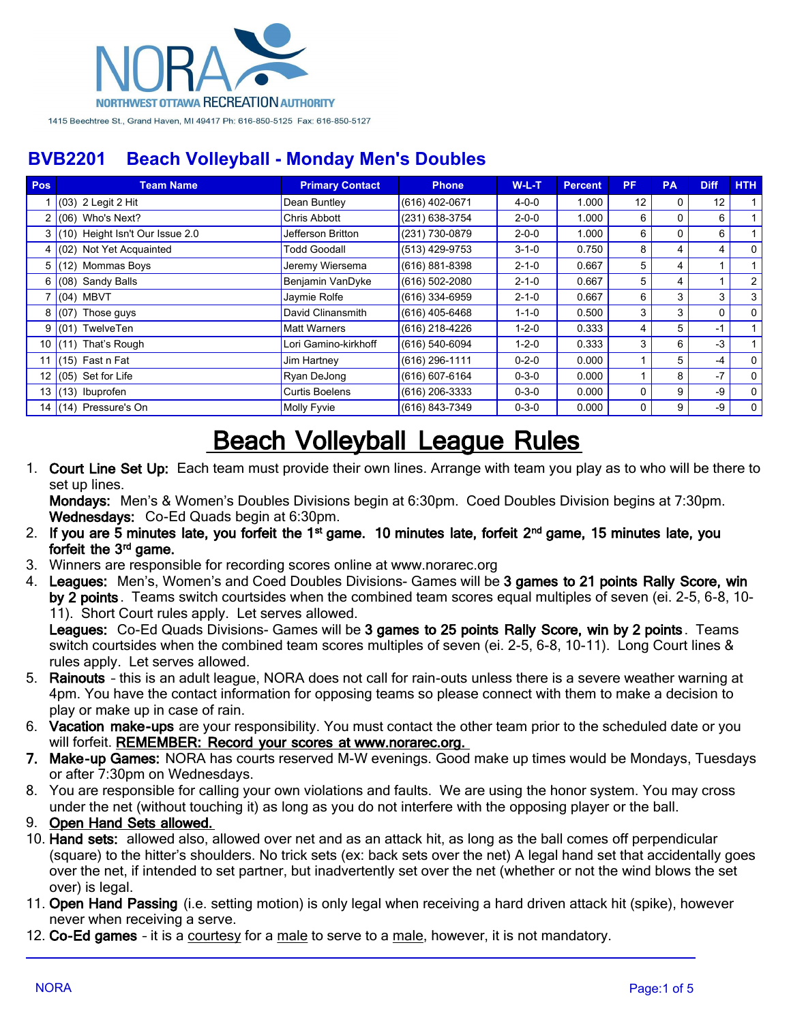

| Pos             | <b>Team Name</b>                | <b>Primary Contact</b> | <b>Phone</b>     | $W-L-T$     | <b>Percent</b> | PF. | <b>PA</b> | <b>Diff</b> | HTH            |
|-----------------|---------------------------------|------------------------|------------------|-------------|----------------|-----|-----------|-------------|----------------|
|                 | (03) 2 Legit 2 Hit              | Dean Buntley           | (616) 402-0671   | $4 - 0 - 0$ | 1.000          | 12  | 0         | 12          |                |
|                 | (06) Who's Next?                | Chris Abbott           | (231) 638-3754   | $2 - 0 - 0$ | 1.000          | 6   | 0         | 6           |                |
| 3               | (10) Height Isn't Our Issue 2.0 | Jefferson Britton      | (231) 730-0879   | $2 - 0 - 0$ | 1.000          | 6   | $\Omega$  | 6           |                |
| 4               | (02) Not Yet Acquainted         | <b>Todd Goodall</b>    | (513) 429-9753   | $3 - 1 - 0$ | 0.750          | 8   | 4         | 4           | $\mathbf{0}$   |
| 5               | (12) Mommas Boys                | Jeremy Wiersema        | (616) 881-8398   | $2 - 1 - 0$ | 0.667          | 5   | 4         |             |                |
| 6 I             | (08) Sandy Balls                | Benjamin VanDyke       | (616) 502-2080   | $2 - 1 - 0$ | 0.667          | 5   | 4         |             | $\overline{2}$ |
|                 | $7 (04)$ MBVT                   | Jaymie Rolfe           | (616) 334-6959   | $2 - 1 - 0$ | 0.667          | 6   | 3         | 3           | 3              |
| 8               | (07) Those guys                 | David Clinansmith      | (616) 405-6468   | $1 - 1 - 0$ | 0.500          | 3   | 3         | $\Omega$    | $\mathbf{0}$   |
| 9 I             | (01) TwelveTen                  | <b>Matt Warners</b>    | (616) 218-4226   | $1 - 2 - 0$ | 0.333          | 4   | 5         | $-1$        |                |
| 10 <sup>1</sup> | $(11)$ That's Rough             | Lori Gamino-kirkhoff   | (616) 540-6094   | $1 - 2 - 0$ | 0.333          | 3   | 6         | $-3$        |                |
| 11.             | $(15)$ Fast n Fat               | Jim Hartney            | (616) 296-1111   | $0 - 2 - 0$ | 0.000          |     | 5         | $-4$        | $\mathbf{0}$   |
| 12 <sub>1</sub> | (05) Set for Life               | Ryan DeJong            | (616) 607-6164   | $0 - 3 - 0$ | 0.000          |     | 8         | $-7$        | $\Omega$       |
| 13 <sup>1</sup> | $(13)$ Ibuprofen                | Curtis Boelens         | $(616)$ 206-3333 | $0 - 3 - 0$ | 0.000          | 0   | 9         | $-9$        | $\Omega$       |
| 14              | (14) Pressure's On              | Molly Fyvie            | (616) 843-7349   | $0 - 3 - 0$ | 0.000          | 0   | 9         | -9          | $\mathbf 0$    |

# **Beach Volleyball League Rules**

1. **Court Line Set Up:** Each team must provide their own lines. Arrange with team you play as to who will be there to set up lines.

**Mondays:** Men's & Women's Doubles Divisions begin at 6:30pm. Coed Doubles Division begins at 7:30pm. **Wednesdays:** Co-Ed Quads begin at 6:30pm.

- 2. If you are 5 minutes late, you forfeit the 1<sup>st</sup> game. 10 minutes late, forfeit 2<sup>nd</sup> game, 15 minutes late, you forfeit the 3<sup>rd</sup> game.
- 3. Winners are responsible for recording scores online at www.norarec.org
- 4. **Leagues:** Men's, Women's and Coed Doubles Divisions- Games will be **3 games to 21 points Rally Score, win by 2 points** . Teams switch courtsides when the combined team scores equal multiples of seven (ei. 2-5, 6-8, 10- 11). Short Court rules apply. Let serves allowed.

**Leagues:** Co-Ed Quads Divisions- Games will be **3 games to 25 points Rally Score, win by 2 points** . Teams switch courtsides when the combined team scores multiples of seven (ei. 2-5, 6-8, 10-11). Long Court lines & rules apply. Let serves allowed.

- 5. **Rainouts** this is an adult league, NORA does not call for rain-outs unless there is a severe weather warning at 4pm. You have the contact information for opposing teams so please connect with them to make a decision to play or make up in case of rain.
- 6. **Vacation make-ups** are your responsibility. You must contact the other team prior to the scheduled date or you will forfeit. **REMEMBER: Record your scores at www.norarec.org.**
- **7. Make-up Games:** NORA has courts reserved M-W evenings. Good make up times would be Mondays, Tuesdays or after 7:30pm on Wednesdays.
- 8. You are responsible for calling your own violations and faults. We are using the honor system. You may cross under the net (without touching it) as long as you do not interfere with the opposing player or the ball.
- 9. **Open Hand Sets allowed.**
- 10. **Hand sets:** allowed also, allowed over net and as an attack hit, as long as the ball comes off perpendicular (square) to the hitter's shoulders. No trick sets (ex: back sets over the net) A legal hand set that accidentally goes over the net, if intended to set partner, but inadvertently set over the net (whether or not the wind blows the set over) is legal.
- 11. **Open Hand Passing** (i.e. setting motion) is only legal when receiving a hard driven attack hit (spike), however never when receiving a serve.
- 12. **Co-Ed games** it is a courtesy for a male to serve to a male, however, it is not mandatory.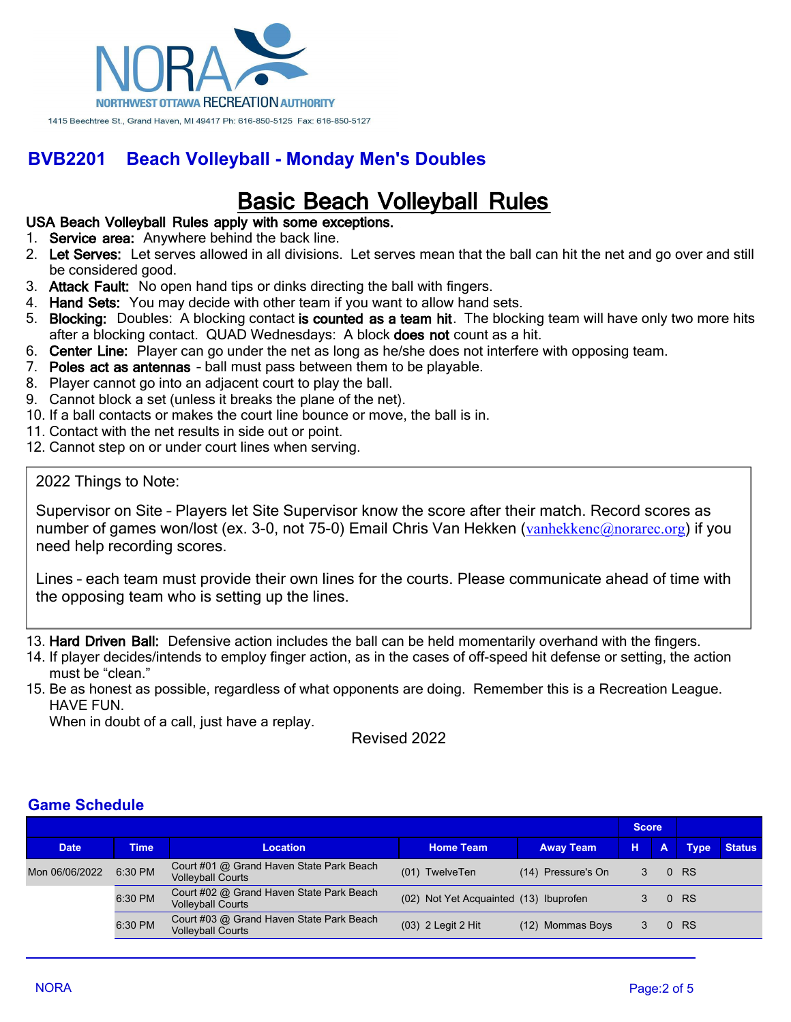

## **Basic Beach Volleyball Rules**

#### **USA Beach Volleyball Rules apply with some exceptions.**

- 1. **Service area:** Anywhere behind the back line.
- 2. **Let Serves:** Let serves allowed in all divisions. Let serves mean that the ball can hit the net and go over and still be considered good.
- 3. **Attack Fault:** No open hand tips or dinks directing the ball with fingers.
- 4. **Hand Sets:** You may decide with other team if you want to allow hand sets.
- 5. **Blocking:** Doubles: A blocking contact **is counted as a team hit**. The blocking team will have only two more hits after a blocking contact. QUAD Wednesdays: A block **does not** count as a hit.
- 6. **Center Line:** Player can go under the net as long as he/she does not interfere with opposing team.
- 7. **Poles act as antennas** ball must pass between them to be playable.
- 8. Player cannot go into an adjacent court to play the ball.
- 9. Cannot block a set (unless it breaks the plane of the net).
- 10. If a ball contacts or makes the court line bounce or move, the ball is in.
- 11. Contact with the net results in side out or point.
- 12. Cannot step on or under court lines when serving.

#### 2022 Things to Note:

Supervisor on Site – Players let Site Supervisor know the score after their match. Record scores as number of games won/lost (ex. 3-0, not 75-0) Email Chris Van Hekken ([vanhekkenc@norarec.org](mailto:vanhekkenc@norarec.org)) if you need help recording scores.

Lines – each team must provide their own lines for the courts. Please communicate ahead of time with the opposing team who is setting up the lines.

13. **Hard Driven Ball:** Defensive action includes the ball can be held momentarily overhand with the fingers.

- 14. If player decides/intends to employ finger action, as in the cases of off-speed hit defense or setting, the action must be "clean."
- 15. Be as honest as possible, regardless of what opponents are doing. Remember this is a Recreation League. HAVE FUN.

When in doubt of a call, just have a replay.

Revised 2022

#### **Game Schedule**

|                |             |                                                                      | <b>Score</b>                           |                    |   |   |             |               |
|----------------|-------------|----------------------------------------------------------------------|----------------------------------------|--------------------|---|---|-------------|---------------|
| <b>Date</b>    | <b>Time</b> | <b>Location</b>                                                      | <b>Home Team</b>                       | <b>Away Team</b>   | н | A | <b>Type</b> | <b>Status</b> |
| Mon 06/06/2022 | 6:30 PM     | Court #01 @ Grand Haven State Park Beach<br><b>Volleyball Courts</b> | (01)<br>TwelveTen                      | (14) Pressure's On | 3 |   | 0 RS        |               |
|                | 6:30 PM     | Court #02 @ Grand Haven State Park Beach<br><b>Volleyball Courts</b> | (02) Not Yet Acquainted (13) Ibuprofen |                    |   |   | 0 RS        |               |
|                | 6:30 PM     | Court #03 @ Grand Haven State Park Beach<br><b>Volleyball Courts</b> | $(03)$ 2 Legit 2 Hit                   | (12) Mommas Boys   | 3 |   | 0 RS        |               |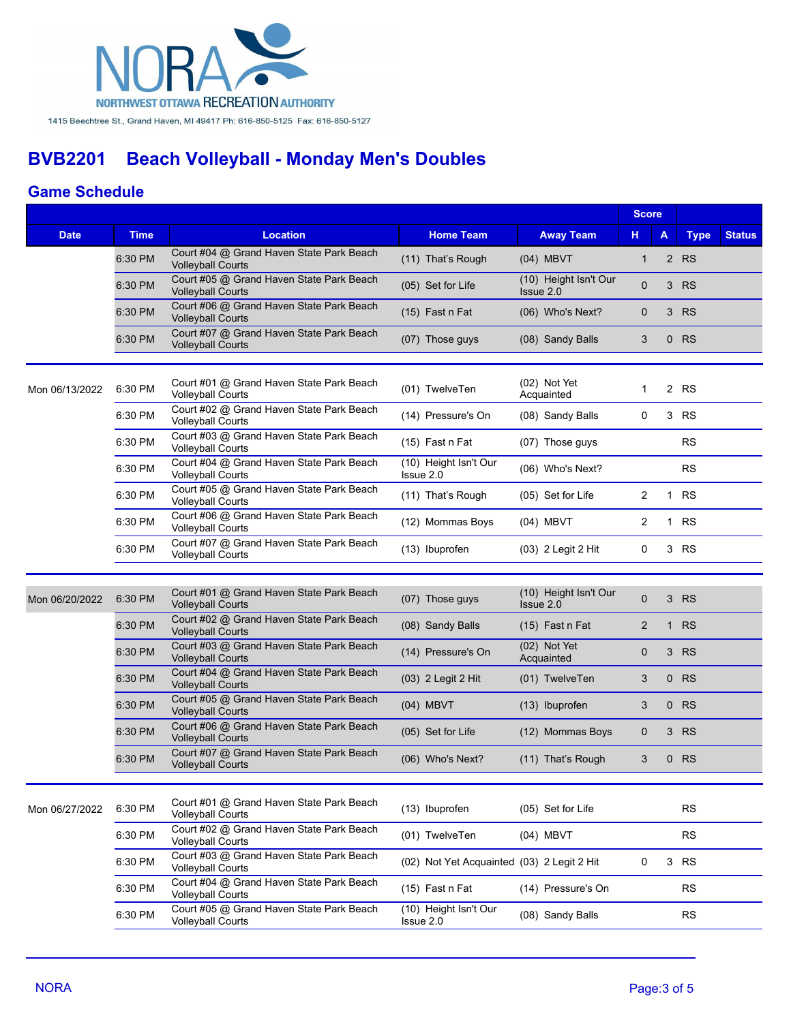

### **Game Schedule**

|                |             |                                                                                                  |                                            | <b>Score</b>                       |                |              |             |               |
|----------------|-------------|--------------------------------------------------------------------------------------------------|--------------------------------------------|------------------------------------|----------------|--------------|-------------|---------------|
| <b>Date</b>    | <b>Time</b> | <b>Location</b>                                                                                  | <b>Home Team</b>                           | <b>Away Team</b>                   | н              | A            | <b>Type</b> | <b>Status</b> |
|                | 6:30 PM     | Court #04 @ Grand Haven State Park Beach<br><b>Volleyball Courts</b>                             | (11) That's Rough                          | (04) MBVT                          | $\mathbf{1}$   |              | 2 RS        |               |
|                | 6:30 PM     | Court #05 @ Grand Haven State Park Beach<br><b>Volleyball Courts</b>                             | (05) Set for Life                          | (10) Height Isn't Our<br>Issue 2.0 | 0              | 3            | <b>RS</b>   |               |
|                | 6:30 PM     | Court #06 @ Grand Haven State Park Beach<br><b>Volleyball Courts</b>                             | (15) Fast n Fat                            | (06) Who's Next?                   | $\mathbf{0}$   | 3            | <b>RS</b>   |               |
|                | 6:30 PM     | Court #07 @ Grand Haven State Park Beach<br><b>Volleyball Courts</b>                             | (07) Those guys                            | (08) Sandy Balls                   | 3              |              | $0$ RS      |               |
| Mon 06/13/2022 | 6:30 PM     | Court #01 @ Grand Haven State Park Beach<br><b>Volleyball Courts</b>                             | (01) TwelveTen                             | (02) Not Yet<br>Acquainted         | $\mathbf{1}$   |              | 2 RS        |               |
|                | 6:30 PM     | Court #02 @ Grand Haven State Park Beach<br><b>Volleyball Courts</b>                             | (14) Pressure's On                         | (08) Sandy Balls                   | 0              |              | 3 RS        |               |
|                | 6:30 PM     | Court #03 @ Grand Haven State Park Beach<br><b>Volleyball Courts</b>                             | $(15)$ Fast n Fat                          | (07) Those guys                    |                |              | <b>RS</b>   |               |
|                | 6:30 PM     | Court #04 @ Grand Haven State Park Beach<br><b>Volleyball Courts</b>                             | (10) Height Isn't Our<br>Issue 2.0         | (06) Who's Next?                   |                |              | <b>RS</b>   |               |
|                | 6:30 PM     | Court #05 @ Grand Haven State Park Beach<br><b>Volleyball Courts</b>                             | (11) That's Rough                          | (05) Set for Life                  | 2              | 1            | <b>RS</b>   |               |
|                | 6:30 PM     | Court #06 @ Grand Haven State Park Beach<br><b>Volleyball Courts</b>                             | (12) Mommas Boys                           | (04) MBVT                          | 2              |              | 1 RS        |               |
|                | 6:30 PM     | Court #07 @ Grand Haven State Park Beach<br><b>Volleyball Courts</b>                             | (13) Ibuprofen                             | (03) 2 Legit 2 Hit                 | 0              |              | 3 RS        |               |
|                |             |                                                                                                  |                                            |                                    |                |              |             |               |
| Mon 06/20/2022 | 6:30 PM     | Court #01 @ Grand Haven State Park Beach<br><b>Volleyball Courts</b>                             | (07) Those guys                            | (10) Height Isn't Our<br>Issue 2.0 | $\overline{0}$ | 3            | <b>RS</b>   |               |
|                | 6:30 PM     | Court #02 @ Grand Haven State Park Beach<br><b>Volleyball Courts</b>                             | (08) Sandy Balls                           | (15) Fast n Fat                    | $\overline{2}$ | $\mathbf{1}$ | <b>RS</b>   |               |
|                | 6:30 PM     | Court #03 @ Grand Haven State Park Beach<br><b>Volleyball Courts</b>                             | (14) Pressure's On                         | (02) Not Yet<br>Acquainted         | $\mathbf{0}$   | 3            | <b>RS</b>   |               |
|                | 6:30 PM     | Court #04 @ Grand Haven State Park Beach<br><b>Volleyball Courts</b>                             | (03) 2 Legit 2 Hit                         | (01) TwelveTen                     | 3              |              | $0$ RS      |               |
|                | 6:30 PM     | Court #05 @ Grand Haven State Park Beach<br><b>Volleyball Courts</b>                             | (04) MBVT                                  | (13) Ibuprofen                     | 3              | $\mathbf{0}$ | <b>RS</b>   |               |
|                | 6:30 PM     | Court #06 @ Grand Haven State Park Beach<br><b>Volleyball Courts</b>                             | (05) Set for Life                          | (12) Mommas Boys                   | 0              | 3            | <b>RS</b>   |               |
|                | 6:30 PM     | Court #07 @ Grand Haven State Park Beach<br><b>Volleyball Courts</b>                             | (06) Who's Next?                           | (11) That's Rough                  | 3              | $\mathbf 0$  | <b>RS</b>   |               |
| Mon 06/27/2022 | 6:30 PM     | Court #01 @ Grand Haven State Park Beach                                                         | (13) Ibuprofen                             | (05) Set for Life                  |                |              | <b>RS</b>   |               |
|                | 6:30 PM     | <b>Volleyball Courts</b><br>Court #02 @ Grand Haven State Park Beach                             | (01) TwelveTen                             | $(04)$ MBVT                        |                |              | <b>RS</b>   |               |
|                | 6:30 PM     | <b>Volleyball Courts</b><br>Court #03 @ Grand Haven State Park Beach                             | (02) Not Yet Acquainted (03) 2 Legit 2 Hit |                                    | 0              |              | 3 RS        |               |
|                | 6:30 PM     | <b>Volleyball Courts</b><br>Court #04 @ Grand Haven State Park Beach                             | (15) Fast n Fat                            | (14) Pressure's On                 |                |              | <b>RS</b>   |               |
|                | 6:30 PM     | <b>Volleyball Courts</b><br>Court #05 @ Grand Haven State Park Beach<br><b>Volleyball Courts</b> | (10) Height Isn't Our<br>Issue 2.0         | (08) Sandy Balls                   |                |              | <b>RS</b>   |               |
|                |             |                                                                                                  |                                            |                                    |                |              |             |               |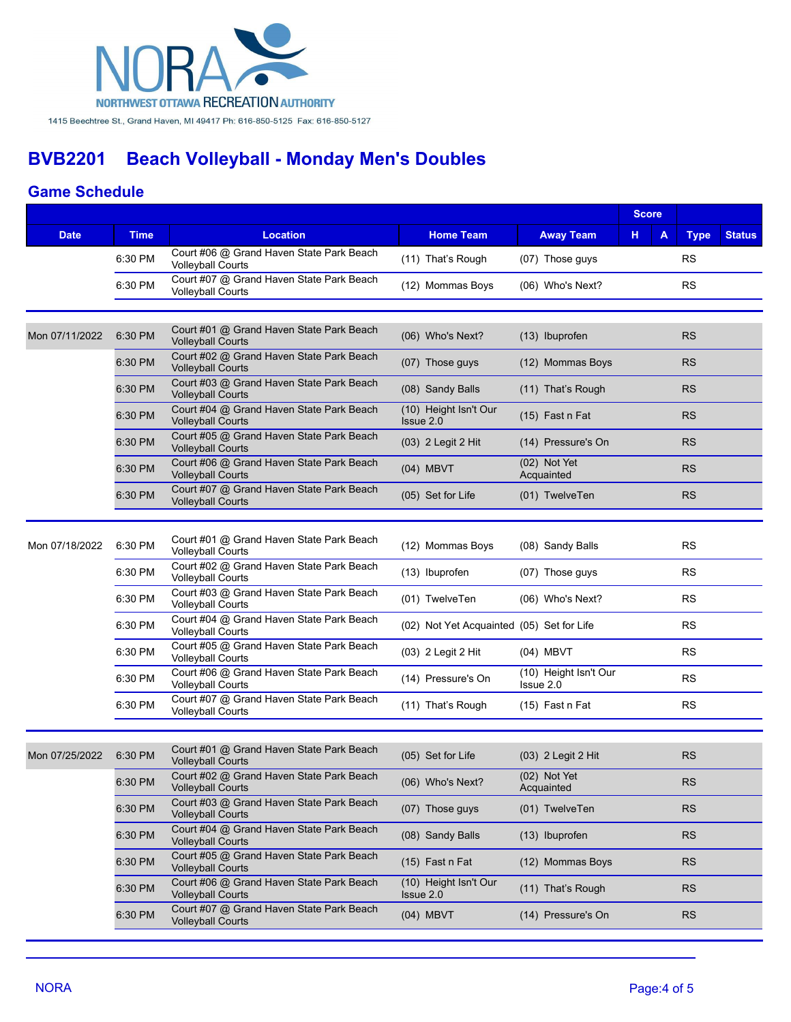

### **Game Schedule**

|                |             |                                                                      |                                           |                                    | <b>Score</b> |             |               |
|----------------|-------------|----------------------------------------------------------------------|-------------------------------------------|------------------------------------|--------------|-------------|---------------|
| <b>Date</b>    | <b>Time</b> | <b>Location</b>                                                      | <b>Home Team</b>                          | <b>Away Team</b>                   | н<br>A       | <b>Type</b> | <b>Status</b> |
|                | 6:30 PM     | Court #06 @ Grand Haven State Park Beach<br><b>Volleyball Courts</b> | (11) That's Rough                         | (07) Those guys                    |              | <b>RS</b>   |               |
|                | 6:30 PM     | Court #07 @ Grand Haven State Park Beach<br><b>Volleyball Courts</b> | (12) Mommas Boys                          | (06) Who's Next?                   |              | <b>RS</b>   |               |
|                |             |                                                                      |                                           |                                    |              |             |               |
| Mon 07/11/2022 | 6:30 PM     | Court #01 @ Grand Haven State Park Beach<br><b>Volleyball Courts</b> | (06) Who's Next?                          | (13) Ibuprofen                     |              | <b>RS</b>   |               |
|                | 6:30 PM     | Court #02 @ Grand Haven State Park Beach<br><b>Volleyball Courts</b> | (07) Those guys                           | (12) Mommas Boys                   |              | <b>RS</b>   |               |
|                | 6:30 PM     | Court #03 @ Grand Haven State Park Beach<br><b>Volleyball Courts</b> | (08) Sandy Balls                          | (11) That's Rough                  |              | <b>RS</b>   |               |
|                | 6:30 PM     | Court #04 @ Grand Haven State Park Beach<br><b>Volleyball Courts</b> | (10) Height Isn't Our<br>Issue 2.0        | (15) Fast n Fat                    |              | <b>RS</b>   |               |
|                | 6:30 PM     | Court #05 @ Grand Haven State Park Beach<br><b>Volleyball Courts</b> | (03) 2 Legit 2 Hit                        | (14) Pressure's On                 |              | <b>RS</b>   |               |
|                | 6:30 PM     | Court #06 @ Grand Haven State Park Beach<br><b>Volleyball Courts</b> | (04) MBVT                                 | (02) Not Yet<br>Acquainted         |              | <b>RS</b>   |               |
|                | 6:30 PM     | Court #07 @ Grand Haven State Park Beach<br><b>Volleyball Courts</b> | (05) Set for Life                         | (01) TwelveTen                     |              | <b>RS</b>   |               |
| Mon 07/18/2022 | 6:30 PM     | Court #01 @ Grand Haven State Park Beach<br><b>Volleyball Courts</b> | (12) Mommas Boys                          | (08) Sandy Balls                   |              | <b>RS</b>   |               |
|                | 6:30 PM     | Court #02 @ Grand Haven State Park Beach<br><b>Volleyball Courts</b> | (13) Ibuprofen                            | (07) Those guys                    |              | <b>RS</b>   |               |
|                | 6:30 PM     | Court #03 @ Grand Haven State Park Beach<br><b>Volleyball Courts</b> | (01) TwelveTen                            | (06) Who's Next?                   |              | <b>RS</b>   |               |
|                | 6:30 PM     | Court #04 @ Grand Haven State Park Beach<br><b>Volleyball Courts</b> | (02) Not Yet Acquainted (05) Set for Life |                                    |              | <b>RS</b>   |               |
|                | 6:30 PM     | Court #05 @ Grand Haven State Park Beach<br><b>Volleyball Courts</b> | (03) 2 Legit 2 Hit                        | (04) MBVT                          |              | <b>RS</b>   |               |
|                | 6:30 PM     | Court #06 @ Grand Haven State Park Beach<br><b>Volleyball Courts</b> | (14) Pressure's On                        | (10) Height Isn't Our<br>Issue 2.0 |              | <b>RS</b>   |               |
|                | 6:30 PM     | Court #07 @ Grand Haven State Park Beach<br><b>Volleyball Courts</b> | (11) That's Rough                         | (15) Fast n Fat                    |              | <b>RS</b>   |               |
|                |             |                                                                      |                                           |                                    |              |             |               |
| Mon 07/25/2022 | 6:30 PM     | Court #01 @ Grand Haven State Park Beach<br><b>Volleyball Courts</b> | (05) Set for Life                         | (03) 2 Legit 2 Hit                 |              | <b>RS</b>   |               |
|                | 6:30 PM     | Court #02 @ Grand Haven State Park Beach<br><b>Volleyball Courts</b> | (06) Who's Next?                          | (02) Not Yet<br>Acquainted         |              | RS          |               |
|                | 6:30 PM     | Court #03 @ Grand Haven State Park Beach<br><b>Volleyball Courts</b> | (07) Those guys                           | (01) TwelveTen                     |              | <b>RS</b>   |               |
|                | 6:30 PM     | Court #04 @ Grand Haven State Park Beach<br><b>Volleyball Courts</b> | (08) Sandy Balls                          | (13) Ibuprofen                     |              | <b>RS</b>   |               |
|                | 6:30 PM     | Court #05 @ Grand Haven State Park Beach<br><b>Volleyball Courts</b> | (15) Fast n Fat                           | (12) Mommas Boys                   |              | <b>RS</b>   |               |
|                | 6:30 PM     | Court #06 @ Grand Haven State Park Beach<br><b>Volleyball Courts</b> | (10) Height Isn't Our<br>Issue 2.0        | (11) That's Rough                  |              | <b>RS</b>   |               |
|                | 6:30 PM     | Court #07 @ Grand Haven State Park Beach<br><b>Volleyball Courts</b> | $(04)$ MBVT                               | (14) Pressure's On                 |              | <b>RS</b>   |               |
|                |             |                                                                      |                                           |                                    |              |             |               |